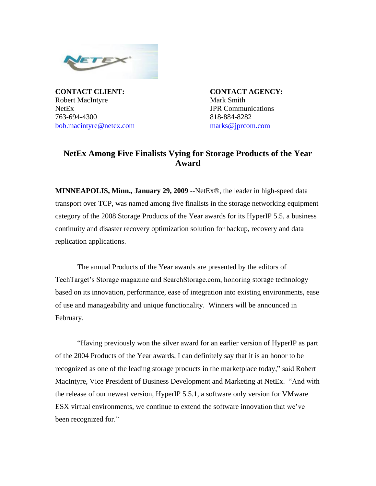

**CONTACT CLIENT: CONTACT AGENCY:** Robert MacIntyre Mark Smith NetEx JPR Communications 763-694-4300 818-884-8282 [bob.macintyre@netex.com](mailto:bob.macintyre@netex.com) [marks@jprcom.com](mailto:marks@jprcom.com)

# **NetEx Among Five Finalists Vying for Storage Products of the Year Award**

**MINNEAPOLIS, Minn., January 29, 2009** --NetEx®, the leader in high-speed data transport over TCP, was named among five finalists in the storage networking equipment category of the 2008 Storage Products of the Year awards for its HyperIP 5.5, a business continuity and disaster recovery optimization solution for backup, recovery and data replication applications.

The annual Products of the Year awards are presented by the editors of TechTarget's Storage magazine and SearchStorage.com, honoring storage technology based on its innovation, performance, ease of integration into existing environments, ease of use and manageability and unique functionality. Winners will be announced in February.

"Having previously won the silver award for an earlier version of HyperIP as part of the 2004 Products of the Year awards, I can definitely say that it is an honor to be recognized as one of the leading storage products in the marketplace today," said Robert MacIntyre, Vice President of Business Development and Marketing at NetEx. "And with the release of our newest version, HyperIP 5.5.1, a software only version for VMware ESX virtual environments, we continue to extend the software innovation that we've been recognized for."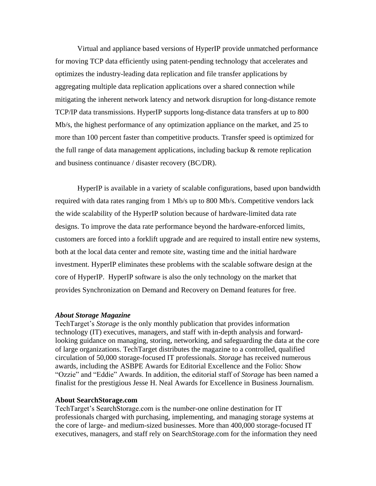Virtual and appliance based versions of HyperIP provide unmatched performance for moving TCP data efficiently using patent-pending technology that accelerates and optimizes the industry-leading data replication and file transfer applications by aggregating multiple data replication applications over a shared connection while mitigating the inherent network latency and network disruption for long-distance remote TCP/IP data transmissions. HyperIP supports long-distance data transfers at up to 800 Mb/s, the highest performance of any optimization appliance on the market, and 25 to more than 100 percent faster than competitive products. Transfer speed is optimized for the full range of data management applications, including backup & remote replication and business continuance / disaster recovery (BC/DR).

HyperIP is available in a variety of scalable configurations, based upon bandwidth required with data rates ranging from 1 Mb/s up to 800 Mb/s. Competitive vendors lack the wide scalability of the HyperIP solution because of hardware-limited data rate designs. To improve the data rate performance beyond the hardware-enforced limits, customers are forced into a forklift upgrade and are required to install entire new systems, both at the local data center and remote site, wasting time and the initial hardware investment. HyperIP eliminates these problems with the scalable software design at the core of HyperIP. HyperIP software is also the only technology on the market that provides Synchronization on Demand and Recovery on Demand features for free.

### *About Storage Magazine*

TechTarget's *Storage* is the only monthly publication that provides information technology (IT) executives, managers, and staff with in-depth analysis and forwardlooking guidance on managing, storing, networking, and safeguarding the data at the core of large organizations. TechTarget distributes the magazine to a controlled, qualified circulation of 50,000 storage-focused IT professionals. *Storage* has received numerous awards, including the ASBPE Awards for Editorial Excellence and the Folio: Show "Ozzie" and "Eddie" Awards. In addition, the editorial staff of *Storage* has been named a finalist for the prestigious Jesse H. Neal Awards for Excellence in Business Journalism.

### **About SearchStorage.com**

TechTarget's SearchStorage.com is the number-one online destination for IT professionals charged with purchasing, implementing, and managing storage systems at the core of large- and medium-sized businesses. More than 400,000 storage-focused IT executives, managers, and staff rely on SearchStorage.com for the information they need